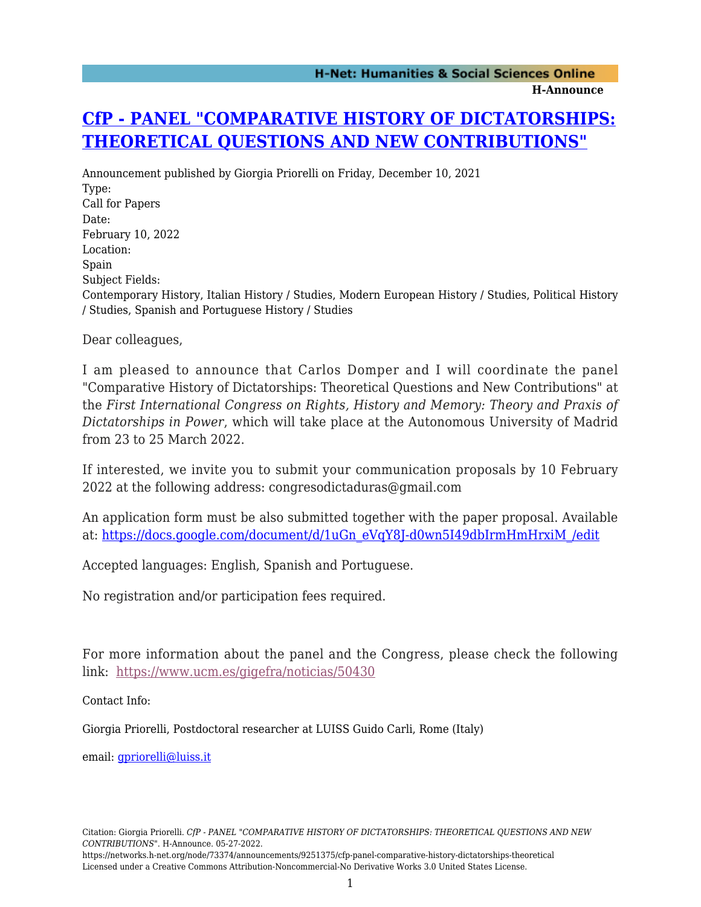## **H-Announce**

## **[CfP - PANEL "COMPARATIVE HISTORY OF DICTATORSHIPS:](https://networks.h-net.org/node/73374/announcements/9251375/cfp-panel-comparative-history-dictatorships-theoretical) [THEORETICAL QUESTIONS AND NEW CONTRIBUTIONS"](https://networks.h-net.org/node/73374/announcements/9251375/cfp-panel-comparative-history-dictatorships-theoretical)**

Announcement published by Giorgia Priorelli on Friday, December 10, 2021 Type: Call for Papers Date: February 10, 2022 Location: Spain Subject Fields: Contemporary History, Italian History / Studies, Modern European History / Studies, Political History / Studies, Spanish and Portuguese History / Studies

Dear colleagues,

I am pleased to announce that Carlos Domper and I will coordinate the panel "Comparative History of Dictatorships: Theoretical Questions and New Contributions" at the *First International Congress on Rights, History and Memory: Theory and Praxis of Dictatorships in Power*, which will take place at the Autonomous University of Madrid from 23 to 25 March 2022.

If interested, we invite you to submit your communication proposals by 10 February 2022 at the following address: [congresodictaduras@gmail.com](mailto:congresodictaduras@gmail.com)

An application form must be also submitted together with the paper proposal. Available at: [https://docs.google.com/document/d/1uGn\\_eVqY8J-d0wn5I49dbIrmHmHrxiM\\_/edit](https://docs.google.com/document/d/1uGn_eVqY8J-d0wn5I49dbIrmHmHrxiM_/edit)

Accepted languages: English, Spanish and Portuguese.

No registration and/or participation fees required.

For more information about the panel and the Congress, please check the following link: <https://www.ucm.es/gigefra/noticias/50430>

Contact Info:

Giorgia Priorelli, Postdoctoral researcher at LUISS Guido Carli, Rome (Italy)

email: [gpriorelli@luiss.it](mailto:gpriorelli@luiss.it)

https://networks.h-net.org/node/73374/announcements/9251375/cfp-panel-comparative-history-dictatorships-theoretical Licensed under a Creative Commons Attribution-Noncommercial-No Derivative Works 3.0 United States License.